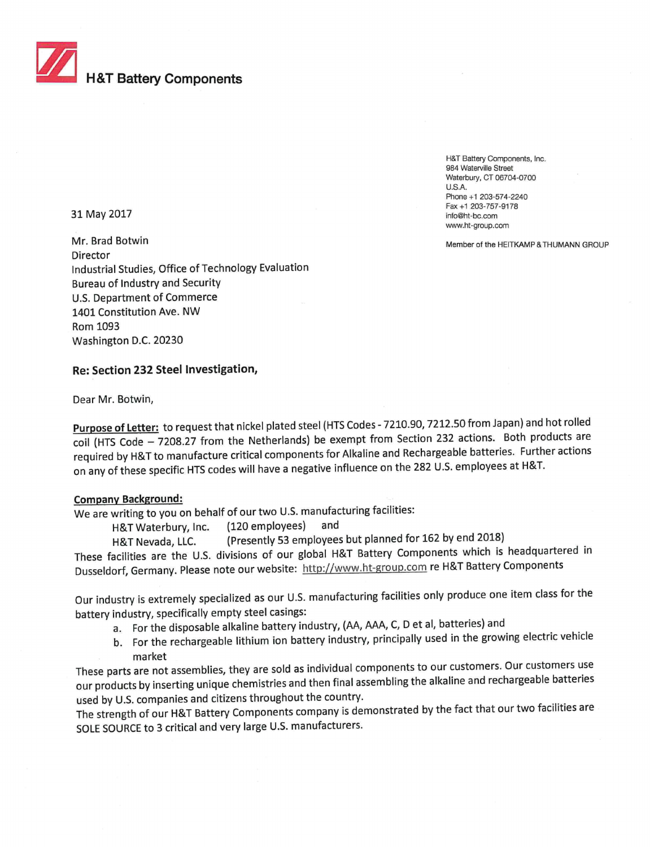

H&T Battery Components, Inc. 984 Waterville Street Waterbury, CT 06704-0700 U.S.A. Phone +1 203-574-2240 Fax +1 203-757-9178 info@ht-bc.com www.ht-group.com

Member of the HEITKAMP &THUMANN GROUP

31 May 2017

Mr. Brad Botwin Director Industrial Studies, Office of Technology Evaluation Bureau of Industry and Security U.S. Department of Commerce 1401 Constitution Ave. NW Rom 1093 Washington D.C. 20230

# **Re: Section 232 Steel Investigation,**

Dear Mr. Botwin,

**Purpose of Letter:** to request that nickel plated steel (HTS Codes -7210.90, 7212.50 from Japan) and hot rolled coil (HIS Code — 7208.27 from the Netherlands) be exempt from Section 232 actions. Both products are required by H&T to manufacture critical components for Alkaline and Rechargeable batteries. Further actions on any of these specific HTS codes will have a negative influence on the 282 U.S. employees at H&T.

#### **Company Background:**

We are writing to you on behalf of our two U.S. manufacturing facilities:

H&T Waterbury, Inc. (120 employees) and

H&T Nevada, LLC. (Presently 53 employees but planned for 162 by end 2018)

These facilities are the U.S. divisions of our global H&T Battery Components which is headquartered in Dusseldorf, Germany. Please note our website: http://www.ht-group.com re H&T Battery Components

Our industry is extremely specialized as our U.S. manufacturing facilities only produce one item class for the battery industry, specifically empty steel casings:

a. For the disposable alkaline battery industry, (AA, AAA, C, D et al, batteries) and

b. For the rechargeable lithium ion battery industry, principally used in the growing electric vehicle market

These parts are not assemblies, they are sold as individual components to our customers. Our customers use our products by inserting unique chemistries and then final assembling the alkaline and rechargeable batteries used by U.S. companies and citizens throughout the country.

The strength of our H&T Battery Components company is demonstrated by the fact that our two facilities are SOLE SOURCE to 3 critical and very large U.S. manufacturers.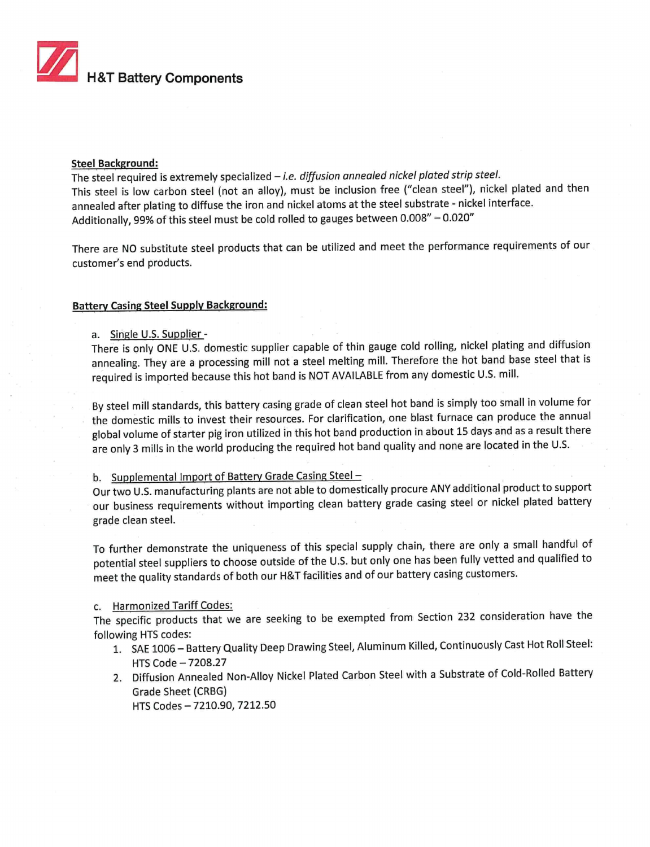

#### Steel Background:

The steel required is extremely specialized - i.e. diffusion annealed nickel plated strip steel. This steel is low carbon steel (not an alloy), must be inclusion free ("clean steel"), nickel plated and then annealed after plating to diffuse the iron and nickel atoms at the steel substrate - nickel interface. Additionally, 99% of this steel must be cold rolled to gauges between 0.008" — 0.020"

There are NO substitute steel products that can be utilized and meet the performance requirements of our customer's end products.

### **Battery Casing Steel Supply Background:**

a. Single U.S. Supplier -

There is only ONE U.S. domestic supplier capable of thin gauge cold rolling, nickel plating and diffusion annealing. They are a processing mill not a steel melting mill. Therefore the hot band base steel that is required is imported because this hot band is NOT AVAILABLE from any domestic U.S. mill.

By steel mill standards, this battery casing grade of clean steel hot band is simply too small in volume for the domestic mills to invest their resources. For clarification, one blast furnace can produce the annual global volume of starter pig iron utilized in this hot band production in about 15 days and as a result there are only 3 mills in the world producing the required hot band quality and none are located in the U.S.

## b. Supplemental Import of Battery Grade Casing Steel —

Our two U.S. manufacturing plants are not able to domestically procure ANY additional product to support our business requirements without importing clean battery grade casing steel or nickel plated battery grade clean steel.

To further demonstrate the uniqueness of this special supply chain, there are only a small handful of potential steel suppliers to choose outside of the U.S. but only one has been fully vetted and qualified to meet the quality standards of both our H&T facilities and of our battery casing customers.

### c. Harmonized Tariff Codes:

The specific products that we are seeking to be exempted from Section 232 consideration have the following HTS codes:

- 1. SAE 1006— Battery Quality Deep Drawing Steel, Aluminum Killed, Continuously Cast Hot Roll Steel: HTS Code —7208.27
- 2. Diffusion Annealed Non-Alloy Nickel Plated Carbon Steel with a Substrate of Cold-Rolled Battery Grade Sheet (CRBG)

HTS Codes —7210.90, 7212.50